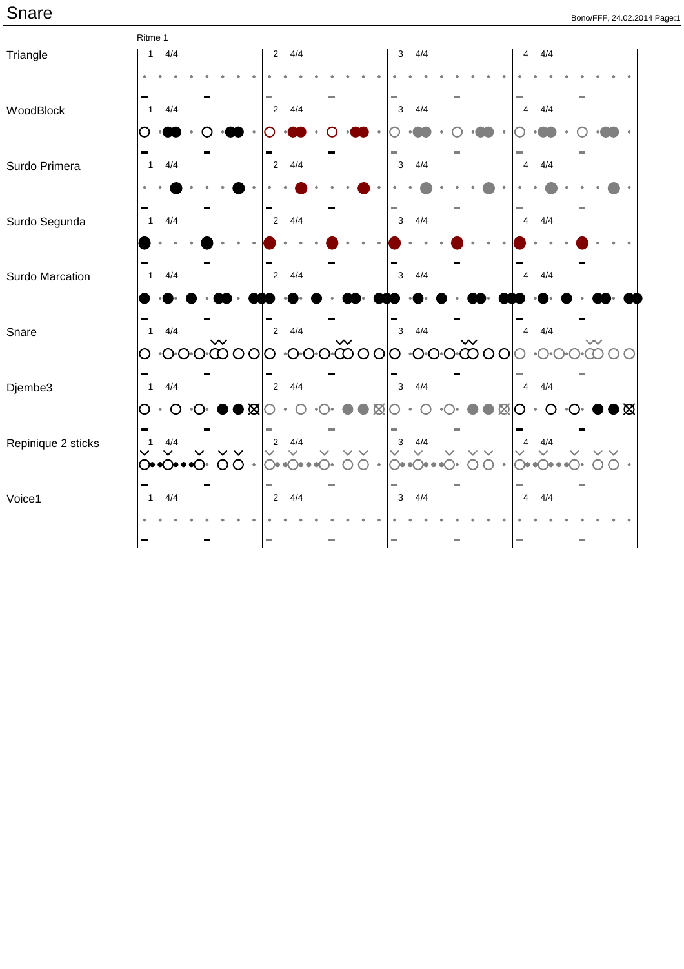|                    | Ritme 1                                          |                           |                                                                 |                                                                |
|--------------------|--------------------------------------------------|---------------------------|-----------------------------------------------------------------|----------------------------------------------------------------|
| Triangle           | 4/4<br>$\mathbf{1}$                              | 4/4<br>$\overline{2}$     | 4/4<br>$\mathbf{3}$                                             | 4/4<br>$\overline{4}$                                          |
|                    |                                                  |                           |                                                                 |                                                                |
|                    |                                                  |                           |                                                                 |                                                                |
| WoodBlock          | 4/4<br>$\overline{1}$                            | 4/4<br>$\sqrt{2}$         | $\mathsf 3$<br>4/4                                              | 4/4<br>$\overline{4}$                                          |
|                    |                                                  |                           |                                                                 |                                                                |
|                    |                                                  |                           |                                                                 |                                                                |
| Surdo Primera      | 4/4<br>$\overline{1}$                            | 4/4<br>$\overline{2}$     | 4/4<br>$\mathsf 3$                                              | 4/4<br>$\overline{4}$                                          |
|                    |                                                  |                           |                                                                 |                                                                |
|                    |                                                  |                           |                                                                 |                                                                |
| Surdo Segunda      | 4/4<br>$\mathbf{1}$                              | 4/4<br>$\sqrt{2}$         | 4/4<br>$\mathsf 3$                                              | 4/4<br>$\overline{4}$                                          |
|                    |                                                  |                           |                                                                 |                                                                |
|                    |                                                  |                           |                                                                 |                                                                |
| Surdo Marcation    | 4/4<br>$\mathbf{1}$                              | 4/4<br>$\overline{2}$     | 4/4<br>$\mathbf{3}$                                             | 4/4<br>$\overline{4}$                                          |
|                    |                                                  |                           |                                                                 |                                                                |
|                    |                                                  |                           |                                                                 |                                                                |
| Snare              | 4/4<br>$\mathbf{1}$                              | 4/4<br>$\sqrt{2}$         | 4/4<br>$\mathsf 3$                                              | 4/4<br>$\overline{4}$                                          |
|                    | O                                                | ၀၀ထိ၀၀၀ ၀၀ထိ၀၀၀ ၀တိ၀၀၀    |                                                                 | $\bullet$ ( $\ )\bullet$ (                                     |
|                    |                                                  |                           |                                                                 |                                                                |
| Djembe3            | 4/4<br>$\overline{1}$                            | 4/4<br>$\sqrt{2}$         | 4/4<br>$\mathbf{3}$                                             | 4/4<br>$\overline{4}$                                          |
|                    | D⊠∣<br>$\circ$<br>O<br>$\bullet$                 | $\boxtimes$               | Ø                                                               | ▶⊠<br>O<br>$\Box$                                              |
|                    |                                                  |                           |                                                                 |                                                                |
| Repinique 2 sticks | 4/4<br>$\overline{1}$                            | 4/4<br>$\sqrt{2}$         | 4/4<br>3                                                        | $4\sqrt{4}$<br>4                                               |
|                    | $\vee$ $\vee$<br>$\checkmark$<br>O<br>∙⊜∙∙⊙<br>∩ | $\checkmark$<br>$\lambda$ | $\checkmark$<br>$\checkmark$<br>$\bigcap\bullet\bullet$<br>( )⊜ | $\checkmark$<br>$\circ$ ( ) $\circ$ $\circ$ ( ) $\circ$<br>ิว• |
|                    | )•                                               |                           |                                                                 |                                                                |
| Voice1             | 4/4<br>$\overline{1}$                            | 4/4<br>$\overline{2}$     | 4/4<br>$\mathbf{3}$                                             | 4/4<br>$\overline{4}$                                          |
|                    |                                                  |                           |                                                                 |                                                                |
|                    |                                                  |                           |                                                                 |                                                                |
|                    |                                                  | $\sim$                    | $\sim$                                                          | m.                                                             |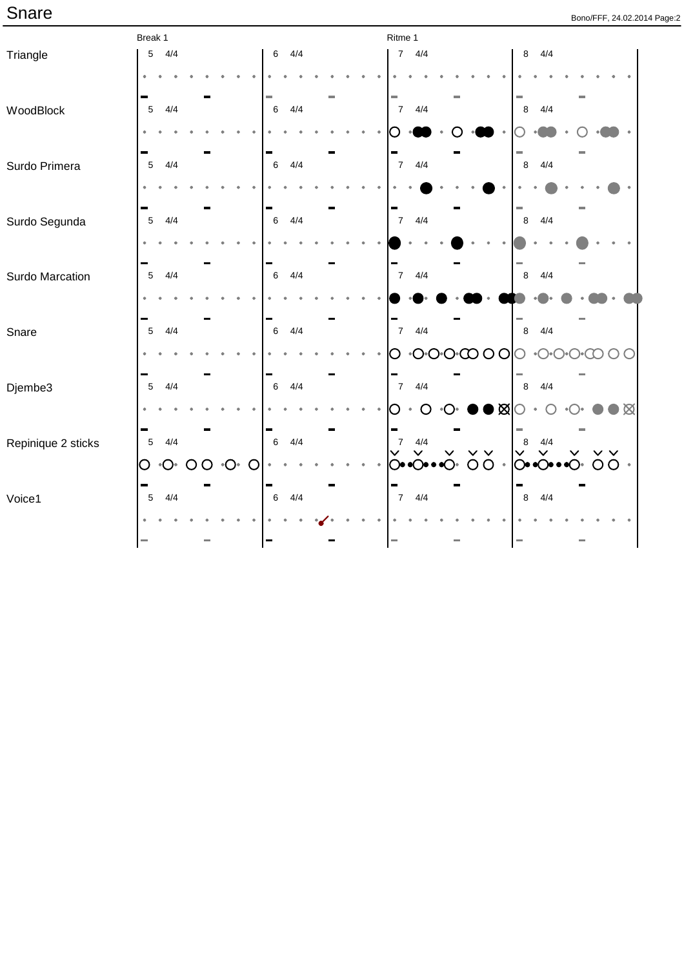|                    | Break 1                              |                                   |                | Ritme 1                                                              |                                                   |
|--------------------|--------------------------------------|-----------------------------------|----------------|----------------------------------------------------------------------|---------------------------------------------------|
| Triangle           | 4/4<br>$\,$ 5 $\,$                   |                                   | 4/4<br>$\,6\,$ | $7 \frac{4}{4}$                                                      | 4/4<br>$\bf8$                                     |
|                    |                                      |                                   |                |                                                                      |                                                   |
|                    |                                      |                                   |                |                                                                      |                                                   |
| WoodBlock          | $\overline{5}$<br>4/4                |                                   | $\,6\,$<br>4/4 | 4/4<br>$\overline{7}$                                                | 4/4<br>$\,8\,$                                    |
|                    |                                      |                                   |                |                                                                      |                                                   |
|                    |                                      |                                   |                |                                                                      |                                                   |
| Surdo Primera      | 4/4<br>$\overline{5}$                |                                   | 4/4<br>$\,6\,$ | 7 <sup>7</sup><br>4/4                                                | 4/4<br>$\,8\,$                                    |
|                    |                                      |                                   |                |                                                                      |                                                   |
|                    |                                      |                                   |                |                                                                      |                                                   |
| Surdo Segunda      | $\overline{5}$<br>4/4                |                                   | 4/4<br>$\,6\,$ | 7 <sup>7</sup><br>4/4                                                | $\,8\,$<br>4/4                                    |
|                    |                                      |                                   |                |                                                                      |                                                   |
|                    |                                      |                                   |                |                                                                      |                                                   |
| Surdo Marcation    | $\overline{5}$<br>4/4                |                                   | 4/4<br>$\,6\,$ | $7 \frac{4}{4}$                                                      | 4/4<br>$\,8\,$                                    |
|                    |                                      |                                   |                |                                                                      |                                                   |
|                    |                                      |                                   |                |                                                                      |                                                   |
| Snare              | $\overline{5}$<br>4/4                |                                   | 4/4<br>$\,6\,$ | $7\overline{ }$<br>4/4                                               | 4/4<br>$\,8\,$                                    |
|                    |                                      |                                   |                | $\cdot$ O $\cdot$ O $\cdot$ $\circ$ $\circ$ $\circ$ O $\circ$ O<br>O | $\bullet$ $\bigcup \bullet$ $\bigcirc$            |
|                    |                                      |                                   |                |                                                                      |                                                   |
| Djembe3            | 5<br>4/4                             |                                   | 4/4<br>$\,6\,$ | 4/4<br>$\overline{7}$                                                | 4/4<br>$\,8\,$                                    |
|                    |                                      |                                   |                | $\bullet \boxtimes$<br>O                                             | $\boxtimes$                                       |
|                    |                                      |                                   |                |                                                                      |                                                   |
| Repinique 2 sticks | 5<br>4/4                             |                                   | 4/4<br>$\,6\,$ | 4/4<br>$\overline{7}$<br>$\vee$ $\vee$<br>$\checkmark$               | 4/4<br>8<br>$\lor$ $\lor$<br>$\checkmark$         |
|                    | $\bigcirc$<br>$\circ$ O $\circ$<br>O | $\cdot$ O $\cdot$<br>$\circ$<br>O |                | $OO$ .                                                               | OO<br>$\odot \bullet \bullet \odot \bullet$<br>○∙ |
|                    |                                      |                                   |                |                                                                      |                                                   |
| Voice1             | $\overline{5}$<br>4/4                |                                   | 4/4<br>$\,6\,$ | $7 \frac{4}{4}$                                                      | 4/4<br>$\, 8$                                     |
|                    |                                      |                                   |                |                                                                      |                                                   |
|                    | m.                                   |                                   | ▬              | щ                                                                    |                                                   |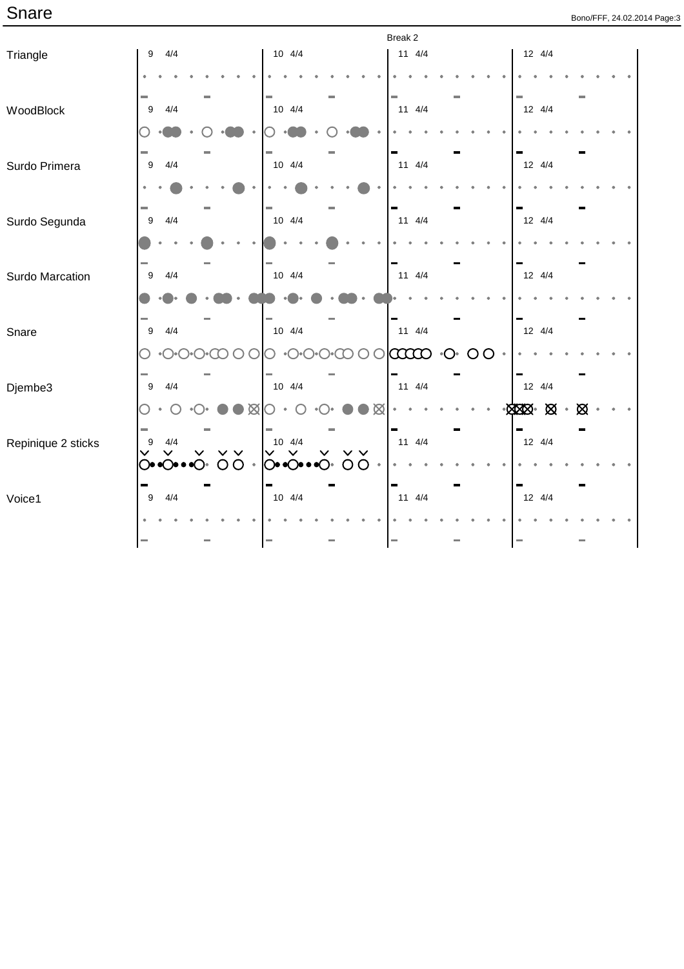|                    |                                                           |                | Break 2                              |                                    |
|--------------------|-----------------------------------------------------------|----------------|--------------------------------------|------------------------------------|
| Triangle           | 4/4<br>9                                                  | $10 \t 4/4$    | $11 \t 4/4$                          | 12 4/4                             |
|                    |                                                           |                |                                      |                                    |
| WoodBlock          | $\boldsymbol{9}$<br>4/4                                   | 10 4/4         | 11 4/4                               | 12 4/4                             |
|                    |                                                           |                |                                      |                                    |
| Surdo Primera      | $\boldsymbol{9}$<br>4/4                                   | $10 \t 4/4$    | $11 \t 4/4$                          | $12 \t 4/4$                        |
|                    |                                                           |                |                                      |                                    |
| Surdo Segunda      | 4/4<br>9                                                  | $10 \t 4/4$    | $11 \t 4/4$                          | $12 \t 4/4$                        |
|                    |                                                           |                |                                      |                                    |
| Surdo Marcation    | 4/4<br>9                                                  | 10 4/4         | $11 \t 4/4$                          | $12 \t 4/4$                        |
|                    |                                                           |                |                                      |                                    |
| Snare              | 4/4<br>$\boldsymbol{9}$                                   | $10 \t 4/4$    | $11 \t 4/4$                          | $12 \t 4/4$                        |
|                    |                                                           |                | $\infty$<br>$\circ$<br>O<br>$\Theta$ |                                    |
| Djembe3            | 9<br>4/4                                                  | $10 \t 4/4$    | $11 \t 4/4$                          | 12 4/4                             |
|                    |                                                           | $\boxtimes$    |                                      | <b>XXX &amp;</b><br>$\bullet$<br>∞ |
| Repinique 2 sticks | 4/4<br>9                                                  | $10 \t 4/4$    | $11 \t 4/4$                          | 12 4/4                             |
|                    | $O\bullet$ $O\bullet\bullet$ $O\bullet$ $O\bullet\bullet$ | O <sub>O</sub> |                                      |                                    |
| Voice1             | 9<br>4/4                                                  | 10 4/4         | $11 \t 4/4$                          | $12 \t 4/4$                        |
|                    |                                                           |                |                                      |                                    |
|                    |                                                           |                |                                      |                                    |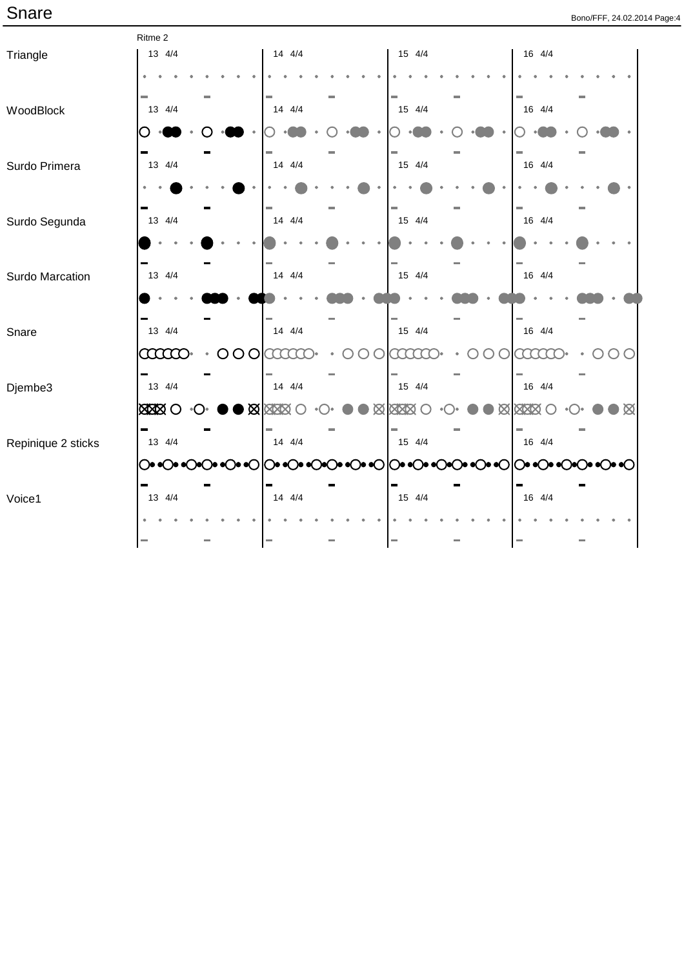|                    | Ritme 2                            |             |        |                           |
|--------------------|------------------------------------|-------------|--------|---------------------------|
| Triangle           | 13 4/4                             | 14 4/4      | 15 4/4 | 16 4/4                    |
|                    |                                    |             |        |                           |
| WoodBlock          | 13 4/4                             | 14 4/4      | 15 4/4 | 16 4/4                    |
|                    |                                    |             |        |                           |
| Surdo Primera      | 13 4/4                             | 14 4/4      | 15 4/4 | 16 4/4                    |
|                    |                                    |             |        |                           |
| Surdo Segunda      | 13 4/4                             | 14 4/4      | 15 4/4 | 16 4/4                    |
|                    |                                    |             |        |                           |
| Surdo Marcation    | 13 4/4                             | 14 4/4      | 15 4/4 | 16 4/4                    |
|                    |                                    |             |        |                           |
| Snare              | 13 4/4                             | 14 4/4      | 15 4/4 | 16 4/4                    |
|                    | $\overline{O}$<br><b>aano</b><br>O | te e e e e  |        | t t t t t                 |
| Djembe3            | 13 4/4                             | $14 \t 4/4$ | 15 4/4 | $\sim$<br>16 4/4          |
|                    |                                    | <b>XXXX</b> | 図图图    | <b>XXX</b><br>$\boxtimes$ |
| Repinique 2 sticks | 13 4/4                             | $14 \t 4/4$ | 15 4/4 | 16 4/4                    |
|                    |                                    |             |        |                           |
| Voice1             | 13 4/4                             | $14 \t 4/4$ | 15 4/4 | $\equiv$<br>16 4/4        |
|                    |                                    |             |        |                           |
|                    |                                    | m.          |        | m.                        |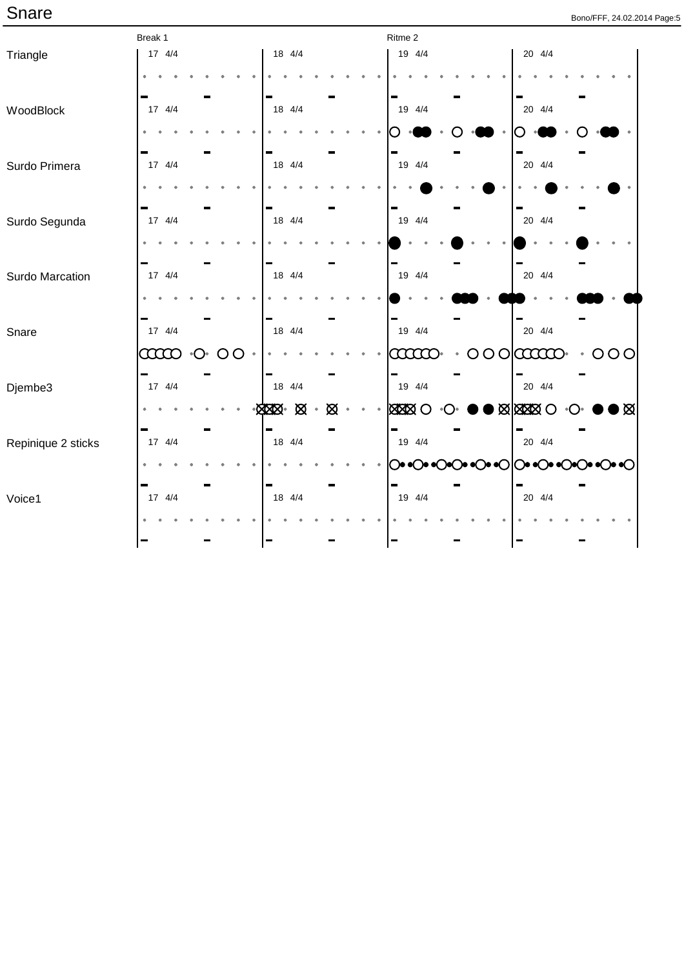|                    | Break 1  |                         |              |  |                     |   | Ritme 2 |           |                      |   |                              |     |  |  |
|--------------------|----------|-------------------------|--------------|--|---------------------|---|---------|-----------|----------------------|---|------------------------------|-----|--|--|
| Triangle           | 17 4/4   |                         |              |  | 18 4/4              |   |         |           | 19 4/4               |   | 20 4/4                       |     |  |  |
|                    |          |                         |              |  |                     |   |         |           |                      |   |                              |     |  |  |
|                    |          |                         |              |  |                     |   |         |           |                      |   |                              |     |  |  |
| WoodBlock          | 17 4/4   |                         |              |  | 18 4/4              |   |         |           | 19 4/4               |   | $20 \t 4/4$                  |     |  |  |
|                    |          |                         |              |  |                     |   |         |           |                      |   |                              |     |  |  |
|                    |          |                         |              |  |                     |   |         |           |                      |   |                              |     |  |  |
| Surdo Primera      | 17 4/4   |                         |              |  | 18 4/4              |   |         |           | 19 4/4               |   | 20 4/4                       |     |  |  |
|                    |          |                         |              |  |                     |   |         |           |                      |   |                              |     |  |  |
|                    | 17 4/4   |                         |              |  | 18 4/4              |   |         |           | 19 4/4               |   | $20 \t 4/4$                  |     |  |  |
| Surdo Segunda      |          |                         |              |  |                     |   |         |           |                      |   |                              |     |  |  |
|                    |          |                         |              |  |                     |   |         |           |                      |   |                              |     |  |  |
|                    | 17 4/4   |                         |              |  | 18 4/4              |   |         |           | 19 4/4               |   | 20 4/4                       |     |  |  |
| Surdo Marcation    |          |                         |              |  |                     |   |         |           |                      |   |                              |     |  |  |
|                    |          |                         |              |  |                     |   |         |           |                      |   |                              |     |  |  |
| Snare              | 17 4/4   |                         |              |  | 18 4/4              |   |         |           | 19 4/4               |   | 20 4/4                       |     |  |  |
|                    |          |                         |              |  |                     |   |         |           |                      |   |                              |     |  |  |
|                    | $\infty$ | $\bullet$ ( ) $\bullet$ | O<br>$\circ$ |  |                     |   |         |           | $\alpha\alpha\alpha$ | O |                              | 000 |  |  |
| Djembe3            | 17 4/4   |                         |              |  | 18 4/4              |   |         |           | 19 4/4               |   | 20 4/4                       |     |  |  |
|                    |          |                         |              |  |                     |   |         |           |                      |   |                              |     |  |  |
|                    |          |                         |              |  | ⊠⊠⊗∗⊠∑<br>$\bullet$ | Ø |         | $\bullet$ | <b>XXXXO</b>         |   | <b>XXXX</b> O                | । ⊠ |  |  |
| Repinique 2 sticks | 17 4/4   |                         |              |  | 18 4/4              |   |         |           | 19 4/4               |   | 20 4/4                       |     |  |  |
|                    |          |                         |              |  |                     |   |         |           |                      |   | ◯◉◉◯◉◉◯◎◎◯◉◉◯◎◎◯◎◎◯◎◎◯◎◎◯◎◎◯ |     |  |  |
|                    |          |                         |              |  |                     |   |         |           |                      |   |                              |     |  |  |
| Voice1             | 17 4/4   |                         |              |  | 18 4/4              |   |         |           | 19 4/4               |   | 20 4/4                       |     |  |  |
|                    |          |                         |              |  |                     |   |         |           |                      |   |                              |     |  |  |
|                    |          |                         |              |  | ÷                   |   |         |           |                      |   |                              |     |  |  |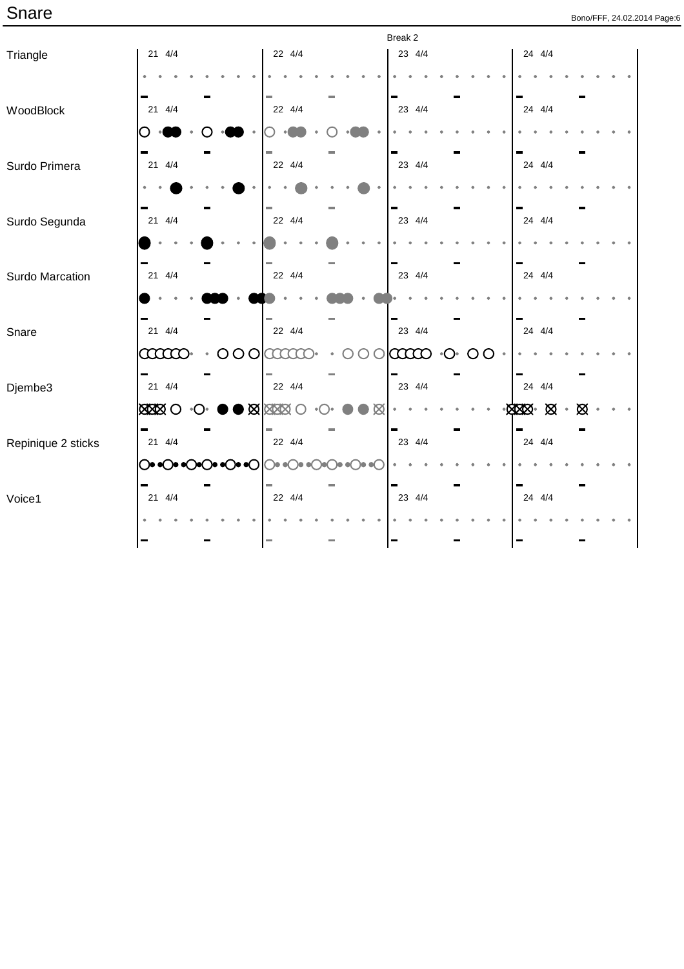|                    |              |                        |                    |                                         | Break 2  |                                    |                |   |
|--------------------|--------------|------------------------|--------------------|-----------------------------------------|----------|------------------------------------|----------------|---|
| Triangle           | $21 \t 4/4$  |                        | 22 4/4             |                                         | 23 4/4   |                                    | 24 4/4         |   |
|                    |              |                        |                    |                                         |          |                                    |                |   |
| WoodBlock          | $21 \t 4/4$  |                        | 22 4/4             |                                         | 23 4/4   |                                    | 24 4/4         |   |
|                    |              |                        |                    |                                         |          |                                    |                |   |
| Surdo Primera      | $21 \t 4/4$  |                        | 22 4/4             |                                         | 23 4/4   |                                    | 24 4/4         |   |
|                    |              |                        |                    |                                         |          |                                    |                |   |
| Surdo Segunda      | 21 4/4       |                        | 22 4/4             |                                         | 23 4/4   |                                    | 24 4/4         |   |
|                    |              |                        |                    |                                         |          |                                    |                |   |
| Surdo Marcation    | 21 4/4       |                        | 22 4/4             |                                         | 23 4/4   |                                    | 24 4/4         |   |
|                    |              |                        |                    |                                         |          |                                    |                |   |
| Snare              | $21 \t 4/4$  |                        | 22 4/4             |                                         | 23 4/4   |                                    | 24 4/4         |   |
|                    | $\infty$     | $\circ \circ \circ$    | aaaa               |                                         | $\infty$ | $\cdot$ $\bigcirc$<br>O<br>$\circ$ |                |   |
| Djembe3            | $21 \t 4/4$  |                        | 22 4/4             |                                         | 23 4/4   |                                    | 24 4/4         |   |
|                    | <b>XXXXO</b> |                        | $\log$ Max $\odot$ | ∞                                       |          |                                    | $-8000$ $-800$ | Ø |
| Repinique 2 sticks | $21 \t 4/4$  |                        | 22 4/4             |                                         | 23 4/4   |                                    | 24 4/4         |   |
|                    |              | ◯◉◉◯◉◇◯◉◎◯◉◉◯│◯◎◎◯◎◎◯। |                    | $\bullet$ $\bullet$ $\bullet$ $\bullet$ |          |                                    |                |   |
| Voice1             | 21 4/4       |                        | 22 4/4             |                                         | 23 4/4   |                                    | 24 4/4         |   |
|                    |              |                        |                    |                                         |          |                                    |                |   |
|                    |              |                        |                    |                                         |          |                                    |                |   |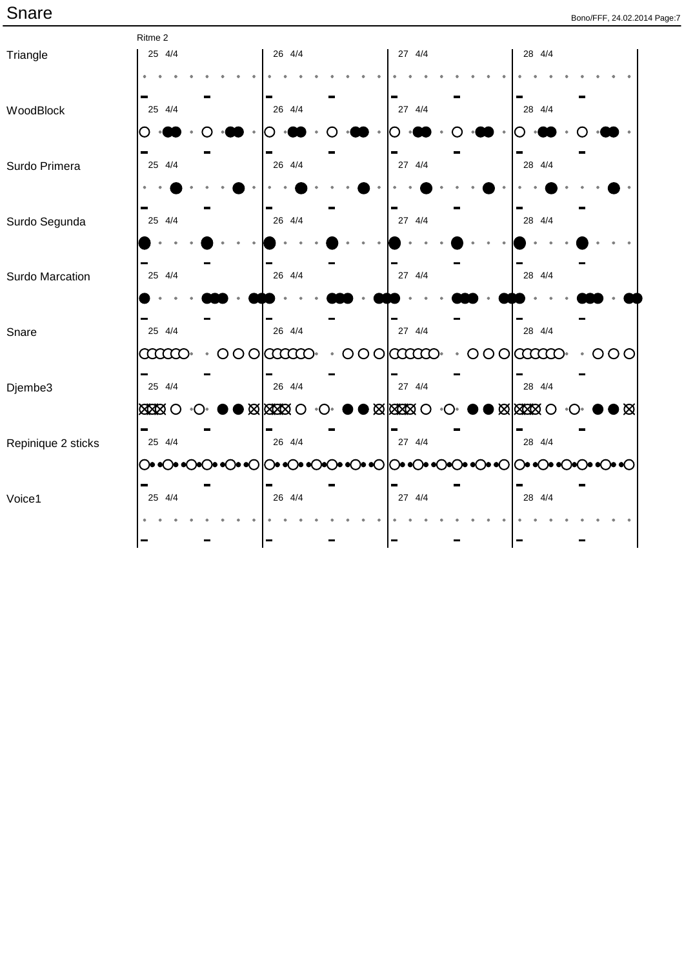|                    | Ritme 2       |                  |         |                     |                     |                            |                  |
|--------------------|---------------|------------------|---------|---------------------|---------------------|----------------------------|------------------|
| Triangle           | 25 4/4        | 26 4/4           |         | 27 4/4              |                     | 28 4/4                     |                  |
|                    |               |                  |         |                     |                     |                            |                  |
|                    |               |                  |         |                     |                     |                            |                  |
| WoodBlock          | 25 4/4        | 26 4/4           |         | 27 4/4              |                     | 28 4/4                     |                  |
|                    |               |                  |         |                     |                     |                            |                  |
|                    |               |                  |         |                     |                     |                            |                  |
| Surdo Primera      | 25 4/4        | 26 4/4           |         | 27 4/4              |                     | 28 4/4                     |                  |
|                    |               |                  |         |                     |                     |                            |                  |
|                    |               |                  |         |                     |                     |                            |                  |
| Surdo Segunda      | 25 4/4        | 26 4/4           |         | 27 4/4              |                     | 28 4/4                     |                  |
|                    |               |                  |         |                     |                     |                            |                  |
|                    |               |                  |         |                     |                     |                            |                  |
| Surdo Marcation    | 25 4/4        | 26 4/4           |         | 27 4/4              |                     | 28 4/4                     |                  |
|                    |               |                  |         |                     |                     |                            |                  |
|                    |               |                  |         |                     |                     |                            |                  |
| Snare              | 25 4/4        | 26 4/4           |         | 27 4/4              |                     | 28 4/4                     |                  |
|                    | <b>aano</b>   | $000$   $\alpha$ | $\circ$ | $O$ $O$ $O$ $O$ $O$ | $\overline{O}$<br>O | <b>COOCO-</b>              | 000<br>$\bullet$ |
|                    | 25 4/4        | 26 4/4           |         | 27 4/4              |                     | 28 4/4                     |                  |
| Djembe3            |               |                  |         |                     |                     |                            |                  |
|                    | <b>XXXX</b> O | <b>XXXXO</b>     |         | $\log 20$           |                     | $\blacksquare$ Mata $\lhd$ | ⊠                |
|                    | 25 4/4        | 26 4/4           |         | 27 4/4              |                     | 28 4/4                     |                  |
| Repinique 2 sticks |               |                  |         |                     |                     |                            |                  |
|                    |               |                  |         |                     |                     |                            |                  |
| Voice1             | 25 4/4        | 26 4/4           |         | 27 4/4              |                     | 28 4/4                     |                  |
|                    |               |                  |         |                     |                     |                            |                  |
|                    |               |                  |         |                     |                     |                            |                  |
|                    |               |                  |         |                     |                     |                            |                  |